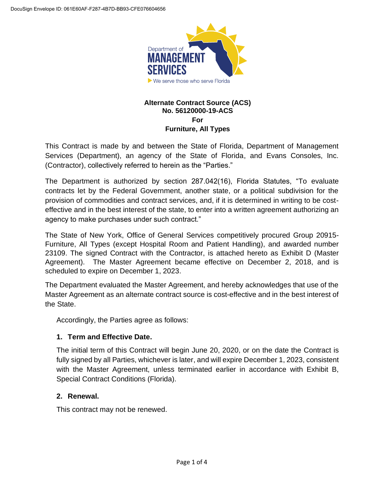

## **Alternate Contract Source (ACS) No. 56120000-19-ACS For Furniture, All Types**

This Contract is made by and between the State of Florida, Department of Management Services (Department), an agency of the State of Florida, and Evans Consoles, Inc. (Contractor), collectively referred to herein as the "Parties."

The Department is authorized by section 287.042(16), Florida Statutes, "To evaluate contracts let by the Federal Government, another state, or a political subdivision for the provision of commodities and contract services, and, if it is determined in writing to be costeffective and in the best interest of the state, to enter into a written agreement authorizing an agency to make purchases under such contract."

The State of New York, Office of General Services competitively procured Group 20915- Furniture, All Types (except Hospital Room and Patient Handling), and awarded number 23109. The signed Contract with the Contractor, is attached hereto as Exhibit D (Master Agreement). The Master Agreement became effective on December 2, 2018, and is scheduled to expire on December 1, 2023.

The Department evaluated the Master Agreement, and hereby acknowledges that use of the Master Agreement as an alternate contract source is cost-effective and in the best interest of the State.

Accordingly, the Parties agree as follows:

# **1. Term and Effective Date.**

The initial term of this Contract will begin June 20, 2020, or on the date the Contract is fully signed by all Parties, whichever is later, and will expire December 1, 2023, consistent with the Master Agreement, unless terminated earlier in accordance with Exhibit B. Special Contract Conditions (Florida).

# **2. Renewal.**

This contract may not be renewed.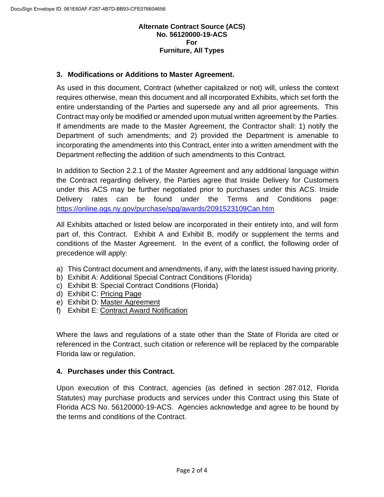## **Alternate Contract Source (ACS) No. 56120000-19-ACS For Furniture, All Types**

## **3. Modifications or Additions to Master Agreement.**

As used in this document, Contract (whether capitalized or not) will, unless the context requires otherwise, mean this document and all incorporated Exhibits, which set forth the entire understanding of the Parties and supersede any and all prior agreements. This Contract may only be modified or amended upon mutual written agreement by the Parties. If amendments are made to the Master Agreement, the Contractor shall: 1) notify the Department of such amendments; and 2) provided the Department is amenable to incorporating the amendments into this Contract, enter into a written amendment with the Department reflecting the addition of such amendments to this Contract.

In addition to Section 2.2.1 of the Master Agreement and any additional language within the Contract regarding delivery, the Parties agree that Inside Delivery for Customers under this ACS may be further negotiated prior to purchases under this ACS. Inside Delivery rates can be found under the Terms and Conditions page: <https://online.ogs.ny.gov/purchase/spg/awards/2091523109Can.htm>

All Exhibits attached or listed below are incorporated in their entirety into, and will form part of, this Contract. Exhibit A and Exhibit B, modify or supplement the terms and conditions of the Master Agreement. In the event of a conflict, the following order of precedence will apply:

- a) This Contract document and amendments, if any, with the latest issued having priority.
- b) Exhibit A: Additional Special Contract Conditions (Florida)
- c) Exhibit B: Special Contract Conditions (Florida)
- d) Exhibit C: [Pricing](https://online.ogs.ny.gov/purchase/spg/pdfdocs/2091523109ContractorPage.pdf) Page
- e) Exhibit D: [Master Agreement](https://online.ogs.ny.gov/purchase/spg/pdfdocs/2091523109BaseContract.pdf)
- f) Exhibit E: [Contract Award Notification](https://online.ogs.ny.gov/purchase/spg/pdfdocs/2091523109ra.pdf)

Where the laws and regulations of a state other than the State of Florida are cited or referenced in the Contract, such citation or reference will be replaced by the comparable Florida law or regulation.

## **4. Purchases under this Contract.**

Upon execution of this Contract, agencies (as defined in section 287.012, Florida Statutes) may purchase products and services under this Contract using this State of Florida ACS No. 56120000-19-ACS. Agencies acknowledge and agree to be bound by the terms and conditions of the Contract.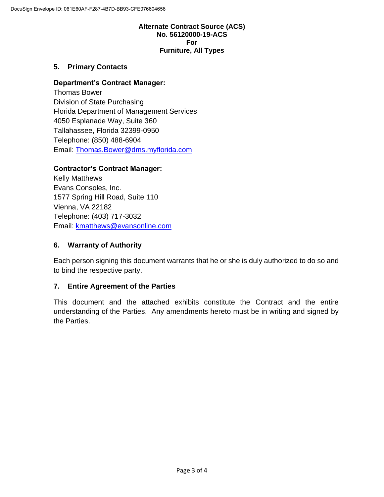## **Alternate Contract Source (ACS) No. 56120000-19-ACS For Furniture, All Types**

## **5. Primary Contacts**

## **Department's Contract Manager:**

Thomas Bower Division of State Purchasing Florida Department of Management Services 4050 Esplanade Way, Suite 360 Tallahassee, Florida 32399-0950 Telephone: (850) 488-6904 Email: [Thomas.Bower@dms.myflorida.com](mailto:Thomas.Bower@dms.myflorida.com)

## **Contractor's Contract Manager:**

Kelly Matthews Evans Consoles, Inc. 1577 Spring Hill Road, Suite 110 Vienna, VA 22182 Telephone: (403) 717-3032 Email: [kmatthews@evansonline.com](mailto:kmatthews@evansonline.com)

## **6. Warranty of Authority**

Each person signing this document warrants that he or she is duly authorized to do so and to bind the respective party.

## **7. Entire Agreement of the Parties**

This document and the attached exhibits constitute the Contract and the entire understanding of the Parties. Any amendments hereto must be in writing and signed by the Parties.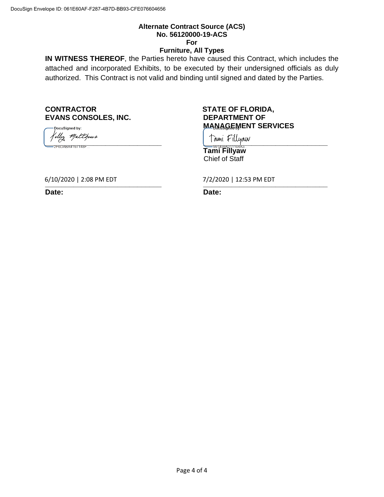## **Alternate Contract Source (ACS) No. 56120000-19-ACS For**

#### **Furniture, All Types**

**IN WITNESS THEREOF**, the Parties hereto have caused this Contract, which includes the attached and incorporated Exhibits, to be executed by their undersigned officials as duly authorized. This Contract is not valid and binding until signed and dated by the Parties.

#### **CONTRACTOR STATE OF FLORIDA, EVANS CONSOLES, INC. DEPARTMENT OF**

.<br>DocuSigned by: **\_\_\_\_\_\_\_\_\_\_\_\_\_\_\_\_\_\_\_\_\_\_\_\_\_\_\_\_\_ \_\_\_\_\_\_\_\_\_\_\_\_\_\_\_\_\_\_\_\_\_\_\_\_\_\_\_\_\_\_\_**

# **MANAGEMENT SERVICES**

**Tami Fillyaw** Chief of Staff

**\_\_\_\_\_\_\_\_\_\_\_\_\_\_\_\_\_\_\_\_\_\_\_\_\_\_\_\_\_ \_\_\_\_\_\_\_\_\_\_\_\_\_\_\_\_\_\_\_\_\_\_\_\_\_\_\_\_\_\_\_** 6/10/2020 | 2:08 PM EDT

**Date: Date:**

7/2/2020 | 12:53 PM EDT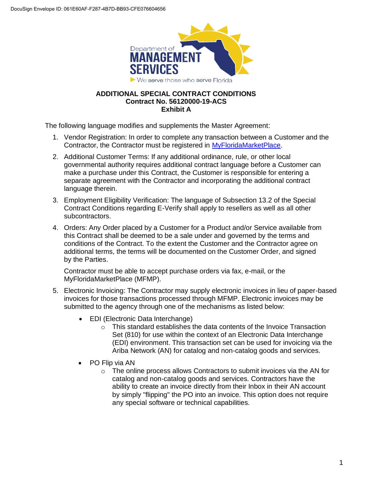

## **ADDITIONAL SPECIAL CONTRACT CONDITIONS Contract No. 56120000-19-ACS Exhibit A**

The following language modifies and supplements the Master Agreement:

- 1. Vendor Registration: In order to complete any transaction between a Customer and the Contractor, the Contractor must be registered in [MyFloridaMarketPlace.](https://vendor.myfloridamarketplace.com/vms-web/spring/login;jsessionid=57AF43BB1DCFD5D11A9ED4CFE7A90EB6.jvm2?execution=e1s1)
- 2. Additional Customer Terms: If any additional ordinance, rule, or other local governmental authority requires additional contract language before a Customer can make a purchase under this Contract, the Customer is responsible for entering a separate agreement with the Contractor and incorporating the additional contract language therein.
- 3. Employment Eligibility Verification: The language of Subsection 13.2 of the Special Contract Conditions regarding E-Verify shall apply to resellers as well as all other subcontractors.
- 4. Orders: Any Order placed by a Customer for a Product and/or Service available from this Contract shall be deemed to be a sale under and governed by the terms and conditions of the Contract. To the extent the Customer and the Contractor agree on additional terms, the terms will be documented on the Customer Order, and signed by the Parties.

Contractor must be able to accept purchase orders via fax, e-mail, or the MyFloridaMarketPlace (MFMP).

- 5. Electronic Invoicing: The Contractor may supply electronic invoices in lieu of paper-based invoices for those transactions processed through MFMP. Electronic invoices may be submitted to the agency through one of the mechanisms as listed below:
	- EDI (Electronic Data Interchange)
		- $\circ$  This standard establishes the data contents of the Invoice Transaction Set (810) for use within the context of an Electronic Data Interchange (EDI) environment. This transaction set can be used for invoicing via the Ariba Network (AN) for catalog and non-catalog goods and services.
	- PO Flip via AN
		- $\circ$  The online process allows Contractors to submit invoices via the AN for catalog and non-catalog goods and services. Contractors have the ability to create an invoice directly from their Inbox in their AN account by simply "flipping" the PO into an invoice. This option does not require any special software or technical capabilities.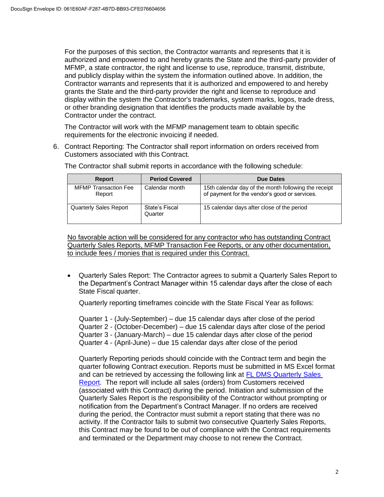For the purposes of this section, the Contractor warrants and represents that it is authorized and empowered to and hereby grants the State and the third-party provider of MFMP, a state contractor, the right and license to use, reproduce, transmit, distribute, and publicly display within the system the information outlined above. In addition, the Contractor warrants and represents that it is authorized and empowered to and hereby grants the State and the third-party provider the right and license to reproduce and display within the system the Contractor's trademarks, system marks, logos, trade dress, or other branding designation that identifies the products made available by the Contractor under the contract.

The Contractor will work with the MFMP management team to obtain specific requirements for the electronic invoicing if needed.

6. Contract Reporting: The Contractor shall report information on orders received from Customers associated with this Contract.

| <b>Report</b>                         | <b>Period Covered</b>     | <b>Due Dates</b>                                                                                      |
|---------------------------------------|---------------------------|-------------------------------------------------------------------------------------------------------|
| <b>MFMP Transaction Fee</b><br>Report | Calendar month            | 15th calendar day of the month following the receipt<br>of payment for the vendor's good or services. |
| <b>Quarterly Sales Report</b>         | State's Fiscal<br>Quarter | 15 calendar days after close of the period                                                            |

The Contractor shall submit reports in accordance with the following schedule:

No favorable action will be considered for any contractor who has outstanding Contract Quarterly Sales Reports, MFMP Transaction Fee Reports, or any other documentation, to include fees / monies that is required under this Contract.

• Quarterly Sales Report: The Contractor agrees to submit a Quarterly Sales Report to the Department's Contract Manager within 15 calendar days after the close of each State Fiscal quarter.

Quarterly reporting timeframes coincide with the State Fiscal Year as follows:

Quarter 1 - (July-September) – due 15 calendar days after close of the period Quarter 2 - (October-December) – due 15 calendar days after close of the period Quarter 3 - (January-March) – due 15 calendar days after close of the period Quarter 4 - (April-June) – due 15 calendar days after close of the period

Quarterly Reporting periods should coincide with the Contract term and begin the quarter following Contract execution. Reports must be submitted in MS Excel format and can be retrieved by accessing the following link at [FL DMS Quarterly Sales](https://www.dms.myflorida.com/business_operations/state_purchasing/vendor_resources/quarterly_sales_report_format)  [Report.](https://www.dms.myflorida.com/business_operations/state_purchasing/vendor_resources/quarterly_sales_report_format) The report will include all sales (orders) from Customers received (associated with this Contract) during the period. Initiation and submission of the Quarterly Sales Report is the responsibility of the Contractor without prompting or notification from the Department's Contract Manager. If no orders are received during the period, the Contractor must submit a report stating that there was no activity. If the Contractor fails to submit two consecutive Quarterly Sales Reports, this Contract may be found to be out of compliance with the Contract requirements and terminated or the Department may choose to not renew the Contract.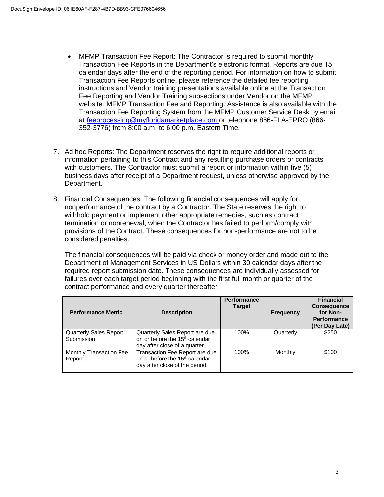- MFMP Transaction Fee Report: The Contractor is required to submit monthly Transaction Fee Reports in the Department's electronic format. Reports are due 15 calendar days after the end of the reporting period. For information on how to submit Transaction Fee Reports online, please reference the detailed fee reporting instructions and Vendor training presentations available online at the Transaction Fee Reporting and Vendor Training subsections under Vendor on the MFMP website: MFMP Transaction Fee and Reporting. Assistance is also available with the Transaction Fee Reporting System from the MFMP Customer Service Desk by email at [feeprocessing@myfloridamarketplace.com o](mailto:feeprocessing@myfloridamarketplace.com)r telephone 866-FLA-EPRO (866- 352-3776) from 8:00 a.m. to 6:00 p.m. Eastern Time.
- 7. Ad hoc Reports: The Department reserves the right to require additional reports or information pertaining to this Contract and any resulting purchase orders or contracts with customers. The Contractor must submit a report or information within five (5) business days after receipt of a Department request, unless otherwise approved by the Department.
- 8. Financial Consequences: The following financial consequences will apply for nonperformance of the contract by a Contractor. The State reserves the right to withhold payment or implement other appropriate remedies, such as contract termination or nonrenewal, when the Contractor has failed to perform/comply with provisions of the Contract. These consequences for non-performance are not to be considered penalties.

The financial consequences will be paid via check or money order and made out to the Department of Management Services in US Dollars within 30 calendar days after the required report submission date. These consequences are individually assessed for failures over each target period beginning with the first full month or quarter of the contract performance and every quarter thereafter.

| <b>Performance Metric</b>                   | <b>Description</b>                                                                                             | <b>Performance</b><br><b>Target</b> | <b>Frequency</b> | <b>Financial</b><br><b>Consequence</b><br>for Non-<br><b>Performance</b><br>(Per Day Late) |
|---------------------------------------------|----------------------------------------------------------------------------------------------------------------|-------------------------------------|------------------|--------------------------------------------------------------------------------------------|
| <b>Quarterly Sales Report</b><br>Submission | Quarterly Sales Report are due<br>on or before the 15 <sup>th</sup> calendar<br>day after close of a quarter.  | 100%                                | Quarterly        | \$250                                                                                      |
| <b>Monthly Transaction Fee</b><br>Report    | Transaction Fee Report are due<br>on or before the 15 <sup>th</sup> calendar<br>day after close of the period. | 100%                                | Monthly          | \$100                                                                                      |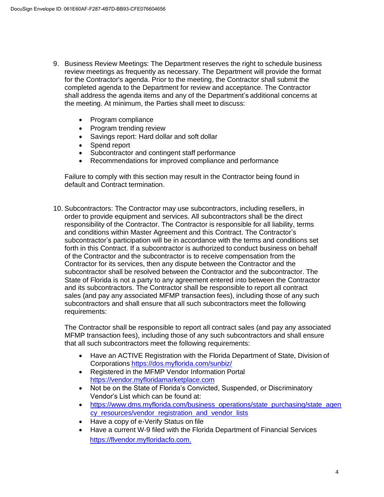- 9. Business Review Meetings: The Department reserves the right to schedule business review meetings as frequently as necessary. The Department will provide the format for the Contractor's agenda. Prior to the meeting, the Contractor shall submit the completed agenda to the Department for review and acceptance. The Contractor shall address the agenda items and any of the Department's additional concerns at the meeting. At minimum, the Parties shall meet to discuss:
	- Program compliance
	- Program trending review
	- Savings report: Hard dollar and soft dollar
	- Spend report
	- Subcontractor and contingent staff performance
	- Recommendations for improved compliance and performance

Failure to comply with this section may result in the Contractor being found in default and Contract termination.

10. Subcontractors: The Contractor may use subcontractors, including resellers, in order to provide equipment and services. All subcontractors shall be the direct responsibility of the Contractor. The Contractor is responsible for all liability, terms and conditions within Master Agreement and this Contract. The Contractor's subcontractor's participation will be in accordance with the terms and conditions set forth in this Contract. If a subcontractor is authorized to conduct business on behalf of the Contractor and the subcontractor is to receive compensation from the Contractor for its services, then any dispute between the Contractor and the subcontractor shall be resolved between the Contractor and the subcontractor. The State of Florida is not a party to any agreement entered into between the Contractor and its subcontractors. The Contractor shall be responsible to report all contract sales (and pay any associated MFMP transaction fees), including those of any such subcontractors and shall ensure that all such subcontractors meet the following requirements:

The Contractor shall be responsible to report all contract sales (and pay any associated MFMP transaction fees), including those of any such subcontractors and shall ensure that all such subcontractors meet the following requirements:

- Have an ACTIVE Registration with the Florida Department of State, Division of Corporations <https://dos.myflorida.com/sunbiz/>
- Registered in the MFMP Vendor Information Portal [https://vendor.myfloridamarketplace.com](https://vendor.myfloridamarketplace.com/)
- Not be on the State of Florida's Convicted, Suspended, or Discriminatory Vendor's List which can be found at:
- [https://www.dms.myflorida.com/business\\_operations/state\\_purchasing/state\\_agen](https://www.dms.myflorida.com/business_operations/state_purchasing/state_agency_resources/vendor_registration_and_vendor_lists) [cy\\_resources/vendor\\_registration\\_and\\_vendor\\_lists](https://www.dms.myflorida.com/business_operations/state_purchasing/state_agency_resources/vendor_registration_and_vendor_lists)
- Have a copy of e-Verify Status on file
- Have a current W-9 filed with the Florida Department of Financial Services [https://flvendor.myfloridacfo.com.](https://flvendor.myfloridacfo.com/)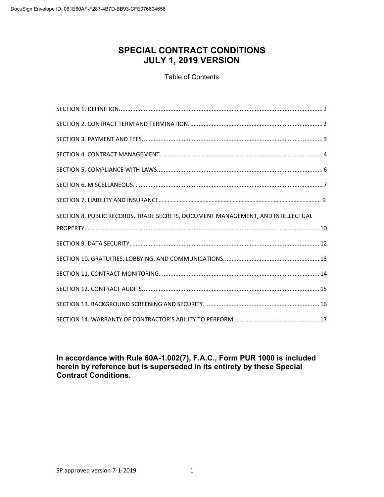# **SPECIAL CONTRACT CONDITIONS JULY 1, 2019 VERSION**

## Table of Contents

| SECTION 8. PUBLIC RECORDS, TRADE SECRETS, DOCUMENT MANAGEMENT, AND INTELLECTUAL |  |
|---------------------------------------------------------------------------------|--|
|                                                                                 |  |
|                                                                                 |  |
|                                                                                 |  |
|                                                                                 |  |
|                                                                                 |  |
|                                                                                 |  |
|                                                                                 |  |

**In accordance with Rule 60A-1.002(7), F.A.C., Form PUR 1000 is included herein by reference but is superseded in its entirety by these Special Contract Conditions.**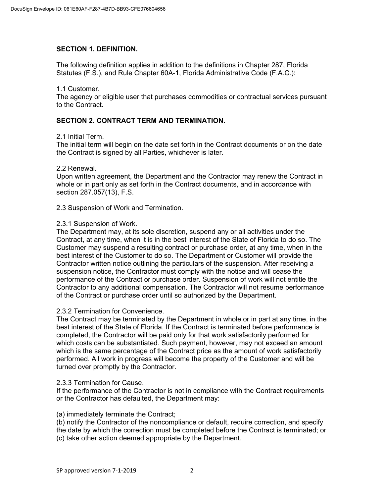## **SECTION 1. DEFINITION.**

The following definition applies in addition to the definitions in Chapter 287, Florida Statutes (F.S.), and Rule Chapter 60A-1, Florida Administrative Code (F.A.C.):

#### 1.1 Customer.

The agency or eligible user that purchases commodities or contractual services pursuant to the Contract.

## **SECTION 2. CONTRACT TERM AND TERMINATION.**

#### 2.1 Initial Term.

The initial term will begin on the date set forth in the Contract documents or on the date the Contract is signed by all Parties, whichever is later.

#### 2.2 Renewal.

Upon written agreement, the Department and the Contractor may renew the Contract in whole or in part only as set forth in the Contract documents, and in accordance with section 287.057(13), F.S.

2.3 Suspension of Work and Termination.

#### 2.3.1 Suspension of Work.

The Department may, at its sole discretion, suspend any or all activities under the Contract, at any time, when it is in the best interest of the State of Florida to do so. The Customer may suspend a resulting contract or purchase order, at any time, when in the best interest of the Customer to do so. The Department or Customer will provide the Contractor written notice outlining the particulars of the suspension. After receiving a suspension notice, the Contractor must comply with the notice and will cease the performance of the Contract or purchase order. Suspension of work will not entitle the Contractor to any additional compensation. The Contractor will not resume performance of the Contract or purchase order until so authorized by the Department.

#### 2.3.2 Termination for Convenience.

The Contract may be terminated by the Department in whole or in part at any time, in the best interest of the State of Florida. If the Contract is terminated before performance is completed, the Contractor will be paid only for that work satisfactorily performed for which costs can be substantiated. Such payment, however, may not exceed an amount which is the same percentage of the Contract price as the amount of work satisfactorily performed. All work in progress will become the property of the Customer and will be turned over promptly by the Contractor.

#### 2.3.3 Termination for Cause.

If the performance of the Contractor is not in compliance with the Contract requirements or the Contractor has defaulted, the Department may:

## (a) immediately terminate the Contract;

(b) notify the Contractor of the noncompliance or default, require correction, and specify the date by which the correction must be completed before the Contract is terminated; or (c) take other action deemed appropriate by the Department.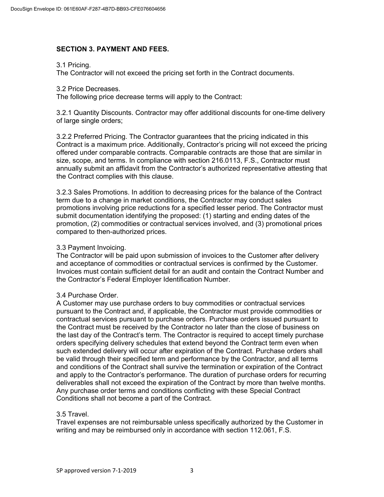## **SECTION 3. PAYMENT AND FEES.**

#### 3.1 Pricing.

The Contractor will not exceed the pricing set forth in the Contract documents.

#### 3.2 Price Decreases.

The following price decrease terms will apply to the Contract:

3.2.1 Quantity Discounts. Contractor may offer additional discounts for one-time delivery of large single orders;

3.2.2 Preferred Pricing. The Contractor guarantees that the pricing indicated in this Contract is a maximum price. Additionally, Contractor's pricing will not exceed the pricing offered under comparable contracts. Comparable contracts are those that are similar in size, scope, and terms. In compliance with section 216.0113, F.S., Contractor must annually submit an affidavit from the Contractor's authorized representative attesting that the Contract complies with this clause.

3.2.3 Sales Promotions. In addition to decreasing prices for the balance of the Contract term due to a change in market conditions, the Contractor may conduct sales promotions involving price reductions for a specified lesser period. The Contractor must submit documentation identifying the proposed: (1) starting and ending dates of the promotion, (2) commodities or contractual services involved, and (3) promotional prices compared to then-authorized prices.

#### 3.3 Payment Invoicing.

The Contractor will be paid upon submission of invoices to the Customer after delivery and acceptance of commodities or contractual services is confirmed by the Customer. Invoices must contain sufficient detail for an audit and contain the Contract Number and the Contractor's Federal Employer Identification Number.

#### 3.4 Purchase Order.

A Customer may use purchase orders to buy commodities or contractual services pursuant to the Contract and, if applicable, the Contractor must provide commodities or contractual services pursuant to purchase orders. Purchase orders issued pursuant to the Contract must be received by the Contractor no later than the close of business on the last day of the Contract's term. The Contractor is required to accept timely purchase orders specifying delivery schedules that extend beyond the Contract term even when such extended delivery will occur after expiration of the Contract. Purchase orders shall be valid through their specified term and performance by the Contractor, and all terms and conditions of the Contract shall survive the termination or expiration of the Contract and apply to the Contractor's performance. The duration of purchase orders for recurring deliverables shall not exceed the expiration of the Contract by more than twelve months. Any purchase order terms and conditions conflicting with these Special Contract Conditions shall not become a part of the Contract.

#### 3.5 Travel.

Travel expenses are not reimbursable unless specifically authorized by the Customer in writing and may be reimbursed only in accordance with section 112.061, F.S.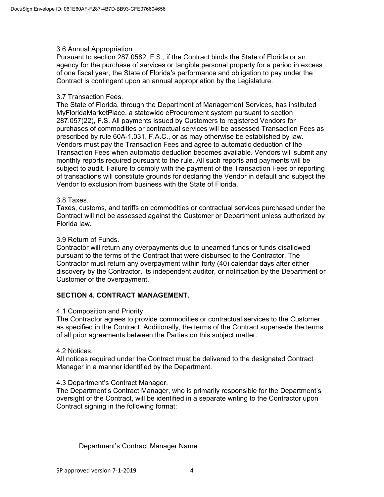## 3.6 Annual Appropriation.

Pursuant to section 287.0582, F.S., if the Contract binds the State of Florida or an agency for the purchase of services or tangible personal property for a period in excess of one fiscal year, the State of Florida's performance and obligation to pay under the Contract is contingent upon an annual appropriation by the Legislature.

#### 3.7 Transaction Fees.

The State of Florida, through the Department of Management Services, has instituted MyFloridaMarketPlace, a statewide eProcurement system pursuant to section 287.057(22), F.S. All payments issued by Customers to registered Vendors for purchases of commodities or contractual services will be assessed Transaction Fees as prescribed by rule 60A-1.031, F.A.C., or as may otherwise be established by law. Vendors must pay the Transaction Fees and agree to automatic deduction of the Transaction Fees when automatic deduction becomes available. Vendors will submit any monthly reports required pursuant to the rule. All such reports and payments will be subject to audit. Failure to comply with the payment of the Transaction Fees or reporting of transactions will constitute grounds for declaring the Vendor in default and subject the Vendor to exclusion from business with the State of Florida.

## 3.8 Taxes.

Taxes, customs, and tariffs on commodities or contractual services purchased under the Contract will not be assessed against the Customer or Department unless authorized by Florida law.

## 3.9 Return of Funds.

Contractor will return any overpayments due to unearned funds or funds disallowed pursuant to the terms of the Contract that were disbursed to the Contractor. The Contractor must return any overpayment within forty (40) calendar days after either discovery by the Contractor, its independent auditor, or notification by the Department or Customer of the overpayment.

## **SECTION 4. CONTRACT MANAGEMENT.**

#### 4.1 Composition and Priority.

The Contractor agrees to provide commodities or contractual services to the Customer as specified in the Contract. Additionally, the terms of the Contract supersede the terms of all prior agreements between the Parties on this subject matter.

#### 4.2 Notices.

All notices required under the Contract must be delivered to the designated Contract Manager in a manner identified by the Department.

#### 4.3 Department's Contract Manager.

The Department's Contract Manager, who is primarily responsible for the Department's oversight of the Contract, will be identified in a separate writing to the Contractor upon Contract signing in the following format:

## Department's Contract Manager Name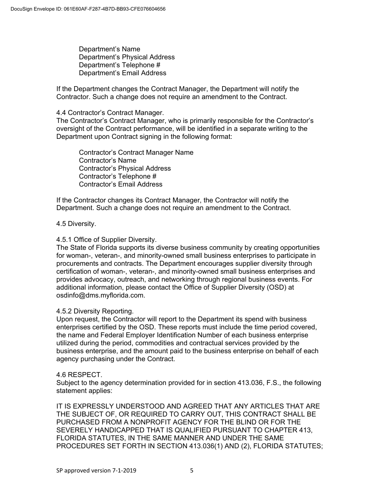Department's Name Department's Physical Address Department's Telephone # Department's Email Address

If the Department changes the Contract Manager, the Department will notify the Contractor. Such a change does not require an amendment to the Contract.

## 4.4 Contractor's Contract Manager.

The Contractor's Contract Manager, who is primarily responsible for the Contractor's oversight of the Contract performance, will be identified in a separate writing to the Department upon Contract signing in the following format:

Contractor's Contract Manager Name Contractor's Name Contractor's Physical Address Contractor's Telephone # Contractor's Email Address

If the Contractor changes its Contract Manager, the Contractor will notify the Department. Such a change does not require an amendment to the Contract.

## 4.5 Diversity.

## 4.5.1 Office of Supplier Diversity.

The State of Florida supports its diverse business community by creating opportunities for woman-, veteran-, and minority-owned small business enterprises to participate in procurements and contracts. The Department encourages supplier diversity through certification of woman-, veteran-, and minority-owned small business enterprises and provides advocacy, outreach, and networking through regional business events. For additional information, please contact the Office of Supplier Diversity (OSD) at osdinfo@dms.myflorida.com.

## 4.5.2 Diversity Reporting.

Upon request, the Contractor will report to the Department its spend with business enterprises certified by the OSD. These reports must include the time period covered, the name and Federal Employer Identification Number of each business enterprise utilized during the period, commodities and contractual services provided by the business enterprise, and the amount paid to the business enterprise on behalf of each agency purchasing under the Contract.

#### 4.6 RESPECT.

Subject to the agency determination provided for in section 413.036, F.S., the following statement applies:

IT IS EXPRESSLY UNDERSTOOD AND AGREED THAT ANY ARTICLES THAT ARE THE SUBJECT OF, OR REQUIRED TO CARRY OUT, THIS CONTRACT SHALL BE PURCHASED FROM A NONPROFIT AGENCY FOR THE BLIND OR FOR THE SEVERELY HANDICAPPED THAT IS QUALIFIED PURSUANT TO CHAPTER 413, FLORIDA STATUTES, IN THE SAME MANNER AND UNDER THE SAME PROCEDURES SET FORTH IN SECTION 413.036(1) AND (2), FLORIDA STATUTES;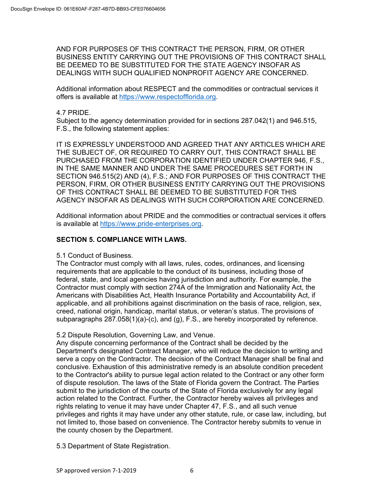AND FOR PURPOSES OF THIS CONTRACT THE PERSON, FIRM, OR OTHER BUSINESS ENTITY CARRYING OUT THE PROVISIONS OF THIS CONTRACT SHALL BE DEEMED TO BE SUBSTITUTED FOR THE STATE AGENCY INSOFAR AS DEALINGS WITH SUCH QUALIFIED NONPROFIT AGENCY ARE CONCERNED.

Additional information about RESPECT and the commodities or contractual services it offers is available at https://www.respectofflorida.org.

## 4.7 PRIDE.

Subject to the agency determination provided for in sections 287.042(1) and 946.515, F.S., the following statement applies:

IT IS EXPRESSLY UNDERSTOOD AND AGREED THAT ANY ARTICLES WHICH ARE THE SUBJECT OF, OR REQUIRED TO CARRY OUT, THIS CONTRACT SHALL BE PURCHASED FROM THE CORPORATION IDENTIFIED UNDER CHAPTER 946, F.S., IN THE SAME MANNER AND UNDER THE SAME PROCEDURES SET FORTH IN SECTION 946.515(2) AND (4), F.S.; AND FOR PURPOSES OF THIS CONTRACT THE PERSON, FIRM, OR OTHER BUSINESS ENTITY CARRYING OUT THE PROVISIONS OF THIS CONTRACT SHALL BE DEEMED TO BE SUBSTITUTED FOR THIS AGENCY INSOFAR AS DEALINGS WITH SUCH CORPORATION ARE CONCERNED.

Additional information about PRIDE and the commodities or contractual services it offers is available at https://www.pride-enterprises.org.

## **SECTION 5. COMPLIANCE WITH LAWS.**

5.1 Conduct of Business.

The Contractor must comply with all laws, rules, codes, ordinances, and licensing requirements that are applicable to the conduct of its business, including those of federal, state, and local agencies having jurisdiction and authority. For example, the Contractor must comply with section 274A of the Immigration and Nationality Act, the Americans with Disabilities Act, Health Insurance Portability and Accountability Act, if applicable, and all prohibitions against discrimination on the basis of race, religion, sex, creed, national origin, handicap, marital status, or veteran's status. The provisions of subparagraphs 287.058(1)(a)-(c), and (g), F.S., are hereby incorporated by reference.

## 5.2 Dispute Resolution, Governing Law, and Venue.

Any dispute concerning performance of the Contract shall be decided by the Department's designated Contract Manager, who will reduce the decision to writing and serve a copy on the Contractor. The decision of the Contract Manager shall be final and conclusive. Exhaustion of this administrative remedy is an absolute condition precedent to the Contractor's ability to pursue legal action related to the Contract or any other form of dispute resolution. The laws of the State of Florida govern the Contract. The Parties submit to the jurisdiction of the courts of the State of Florida exclusively for any legal action related to the Contract. Further, the Contractor hereby waives all privileges and rights relating to venue it may have under Chapter 47, F.S., and all such venue privileges and rights it may have under any other statute, rule, or case law, including, but not limited to, those based on convenience. The Contractor hereby submits to venue in the county chosen by the Department.

5.3 Department of State Registration.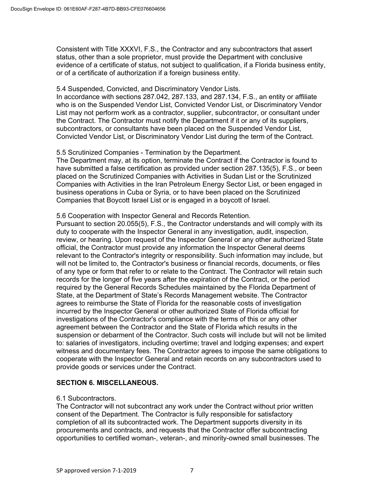Consistent with Title XXXVI, F.S., the Contractor and any subcontractors that assert status, other than a sole proprietor, must provide the Department with conclusive evidence of a certificate of status, not subject to qualification, if a Florida business entity, or of a certificate of authorization if a foreign business entity.

#### 5.4 Suspended, Convicted, and Discriminatory Vendor Lists.

In accordance with sections 287.042, 287.133, and 287.134, F.S., an entity or affiliate who is on the Suspended Vendor List, Convicted Vendor List, or Discriminatory Vendor List may not perform work as a contractor, supplier, subcontractor, or consultant under the Contract. The Contractor must notify the Department if it or any of its suppliers, subcontractors, or consultants have been placed on the Suspended Vendor List, Convicted Vendor List, or Discriminatory Vendor List during the term of the Contract.

## 5.5 Scrutinized Companies - Termination by the Department.

The Department may, at its option, terminate the Contract if the Contractor is found to have submitted a false certification as provided under section 287.135(5), F.S., or been placed on the Scrutinized Companies with Activities in Sudan List or the Scrutinized Companies with Activities in the Iran Petroleum Energy Sector List, or been engaged in business operations in Cuba or Syria, or to have been placed on the Scrutinized Companies that Boycott Israel List or is engaged in a boycott of Israel.

## 5.6 Cooperation with Inspector General and Records Retention.

Pursuant to section 20.055(5), F.S., the Contractor understands and will comply with its duty to cooperate with the Inspector General in any investigation, audit, inspection, review, or hearing. Upon request of the Inspector General or any other authorized State official, the Contractor must provide any information the Inspector General deems relevant to the Contractor's integrity or responsibility. Such information may include, but will not be limited to, the Contractor's business or financial records, documents, or files of any type or form that refer to or relate to the Contract. The Contractor will retain such records for the longer of five years after the expiration of the Contract, or the period required by the General Records Schedules maintained by the Florida Department of State, at the Department of State's Records Management website. The Contractor agrees to reimburse the State of Florida for the reasonable costs of investigation incurred by the Inspector General or other authorized State of Florida official for investigations of the Contractor's compliance with the terms of this or any other agreement between the Contractor and the State of Florida which results in the suspension or debarment of the Contractor. Such costs will include but will not be limited to: salaries of investigators, including overtime; travel and lodging expenses; and expert witness and documentary fees. The Contractor agrees to impose the same obligations to cooperate with the Inspector General and retain records on any subcontractors used to provide goods or services under the Contract.

## **SECTION 6. MISCELLANEOUS.**

#### 6.1 Subcontractors.

The Contractor will not subcontract any work under the Contract without prior written consent of the Department. The Contractor is fully responsible for satisfactory completion of all its subcontracted work. The Department supports diversity in its procurements and contracts, and requests that the Contractor offer subcontracting opportunities to certified woman-, veteran-, and minority-owned small businesses. The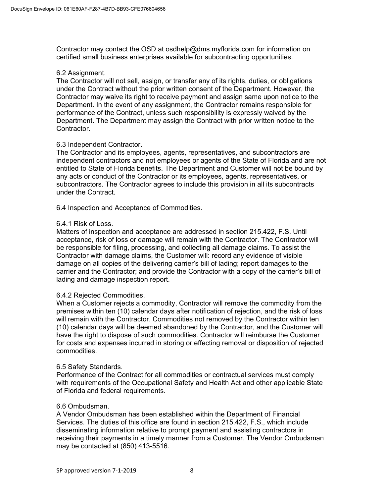Contractor may contact the OSD at osdhelp@dms.myflorida.com for information on certified small business enterprises available for subcontracting opportunities.

#### 6.2 Assignment.

The Contractor will not sell, assign, or transfer any of its rights, duties, or obligations under the Contract without the prior written consent of the Department. However, the Contractor may waive its right to receive payment and assign same upon notice to the Department. In the event of any assignment, the Contractor remains responsible for performance of the Contract, unless such responsibility is expressly waived by the Department. The Department may assign the Contract with prior written notice to the Contractor.

#### 6.3 Independent Contractor.

The Contractor and its employees, agents, representatives, and subcontractors are independent contractors and not employees or agents of the State of Florida and are not entitled to State of Florida benefits. The Department and Customer will not be bound by any acts or conduct of the Contractor or its employees, agents, representatives, or subcontractors. The Contractor agrees to include this provision in all its subcontracts under the Contract.

6.4 Inspection and Acceptance of Commodities.

## 6.4.1 Risk of Loss.

Matters of inspection and acceptance are addressed in section 215.422, F.S. Until acceptance, risk of loss or damage will remain with the Contractor. The Contractor will be responsible for filing, processing, and collecting all damage claims. To assist the Contractor with damage claims, the Customer will: record any evidence of visible damage on all copies of the delivering carrier's bill of lading; report damages to the carrier and the Contractor; and provide the Contractor with a copy of the carrier's bill of lading and damage inspection report.

#### 6.4.2 Rejected Commodities.

When a Customer rejects a commodity, Contractor will remove the commodity from the premises within ten (10) calendar days after notification of rejection, and the risk of loss will remain with the Contractor. Commodities not removed by the Contractor within ten (10) calendar days will be deemed abandoned by the Contractor, and the Customer will have the right to dispose of such commodities. Contractor will reimburse the Customer for costs and expenses incurred in storing or effecting removal or disposition of rejected commodities.

#### 6.5 Safety Standards.

Performance of the Contract for all commodities or contractual services must comply with requirements of the Occupational Safety and Health Act and other applicable State of Florida and federal requirements.

#### 6.6 Ombudsman.

A Vendor Ombudsman has been established within the Department of Financial Services. The duties of this office are found in section 215.422, F.S., which include disseminating information relative to prompt payment and assisting contractors in receiving their payments in a timely manner from a Customer. The Vendor Ombudsman may be contacted at (850) 413-5516.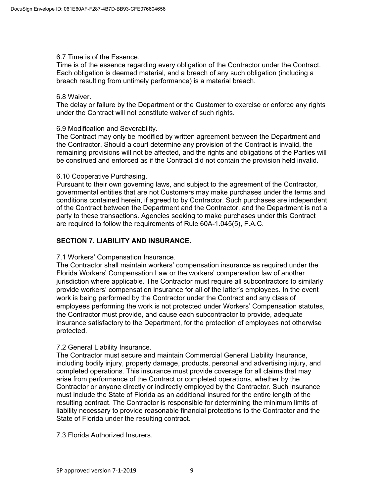## 6.7 Time is of the Essence.

Time is of the essence regarding every obligation of the Contractor under the Contract. Each obligation is deemed material, and a breach of any such obligation (including a breach resulting from untimely performance) is a material breach.

#### 6.8 Waiver.

The delay or failure by the Department or the Customer to exercise or enforce any rights under the Contract will not constitute waiver of such rights.

## 6.9 Modification and Severability.

The Contract may only be modified by written agreement between the Department and the Contractor. Should a court determine any provision of the Contract is invalid, the remaining provisions will not be affected, and the rights and obligations of the Parties will be construed and enforced as if the Contract did not contain the provision held invalid.

## 6.10 Cooperative Purchasing.

Pursuant to their own governing laws, and subject to the agreement of the Contractor, governmental entities that are not Customers may make purchases under the terms and conditions contained herein, if agreed to by Contractor. Such purchases are independent of the Contract between the Department and the Contractor, and the Department is not a party to these transactions. Agencies seeking to make purchases under this Contract are required to follow the requirements of Rule 60A-1.045(5), F.A.C.

## **SECTION 7. LIABILITY AND INSURANCE.**

## 7.1 Workers' Compensation Insurance.

The Contractor shall maintain workers' compensation insurance as required under the Florida Workers' Compensation Law or the workers' compensation law of another jurisdiction where applicable. The Contractor must require all subcontractors to similarly provide workers' compensation insurance for all of the latter's employees. In the event work is being performed by the Contractor under the Contract and any class of employees performing the work is not protected under Workers' Compensation statutes, the Contractor must provide, and cause each subcontractor to provide, adequate insurance satisfactory to the Department, for the protection of employees not otherwise protected.

## 7.2 General Liability Insurance.

The Contractor must secure and maintain Commercial General Liability Insurance, including bodily injury, property damage, products, personal and advertising injury, and completed operations. This insurance must provide coverage for all claims that may arise from performance of the Contract or completed operations, whether by the Contractor or anyone directly or indirectly employed by the Contractor. Such insurance must include the State of Florida as an additional insured for the entire length of the resulting contract. The Contractor is responsible for determining the minimum limits of liability necessary to provide reasonable financial protections to the Contractor and the State of Florida under the resulting contract.

## 7.3 Florida Authorized Insurers.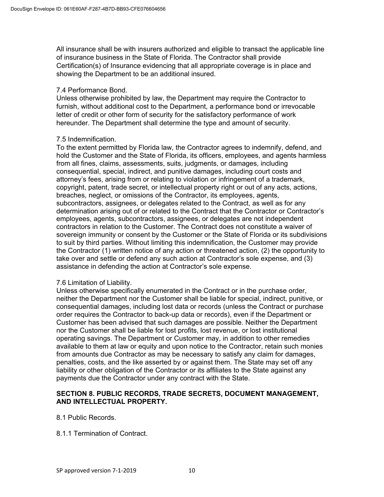All insurance shall be with insurers authorized and eligible to transact the applicable line of insurance business in the State of Florida. The Contractor shall provide Certification(s) of Insurance evidencing that all appropriate coverage is in place and showing the Department to be an additional insured.

## 7.4 Performance Bond.

Unless otherwise prohibited by law, the Department may require the Contractor to furnish, without additional cost to the Department, a performance bond or irrevocable letter of credit or other form of security for the satisfactory performance of work hereunder. The Department shall determine the type and amount of security.

## 7.5 Indemnification.

To the extent permitted by Florida law, the Contractor agrees to indemnify, defend, and hold the Customer and the State of Florida, its officers, employees, and agents harmless from all fines, claims, assessments, suits, judgments, or damages, including consequential, special, indirect, and punitive damages, including court costs and attorney's fees, arising from or relating to violation or infringement of a trademark, copyright, patent, trade secret, or intellectual property right or out of any acts, actions, breaches, neglect, or omissions of the Contractor, its employees, agents, subcontractors, assignees, or delegates related to the Contract, as well as for any determination arising out of or related to the Contract that the Contractor or Contractor's employees, agents, subcontractors, assignees, or delegates are not independent contractors in relation to the Customer. The Contract does not constitute a waiver of sovereign immunity or consent by the Customer or the State of Florida or its subdivisions to suit by third parties. Without limiting this indemnification, the Customer may provide the Contractor (1) written notice of any action or threatened action, (2) the opportunity to take over and settle or defend any such action at Contractor's sole expense, and (3) assistance in defending the action at Contractor's sole expense.

## 7.6 Limitation of Liability.

Unless otherwise specifically enumerated in the Contract or in the purchase order, neither the Department nor the Customer shall be liable for special, indirect, punitive, or consequential damages, including lost data or records (unless the Contract or purchase order requires the Contractor to back-up data or records), even if the Department or Customer has been advised that such damages are possible. Neither the Department nor the Customer shall be liable for lost profits, lost revenue, or lost institutional operating savings. The Department or Customer may, in addition to other remedies available to them at law or equity and upon notice to the Contractor, retain such monies from amounts due Contractor as may be necessary to satisfy any claim for damages, penalties, costs, and the like asserted by or against them. The State may set off any liability or other obligation of the Contractor or its affiliates to the State against any payments due the Contractor under any contract with the State.

## **SECTION 8. PUBLIC RECORDS, TRADE SECRETS, DOCUMENT MANAGEMENT, AND INTELLECTUAL PROPERTY.**

8.1 Public Records.

8.1.1 Termination of Contract.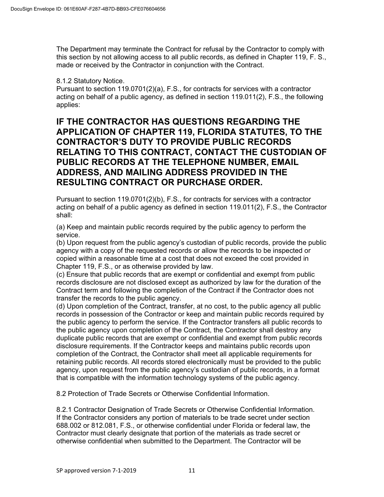The Department may terminate the Contract for refusal by the Contractor to comply with this section by not allowing access to all public records, as defined in Chapter 119, F. S., made or received by the Contractor in conjunction with the Contract.

## 8.1.2 Statutory Notice.

Pursuant to section 119.0701(2)(a), F.S., for contracts for services with a contractor acting on behalf of a public agency, as defined in section 119.011(2), F.S., the following applies:

# **IF THE CONTRACTOR HAS QUESTIONS REGARDING THE APPLICATION OF CHAPTER 119, FLORIDA STATUTES, TO THE CONTRACTOR'S DUTY TO PROVIDE PUBLIC RECORDS RELATING TO THIS CONTRACT, CONTACT THE CUSTODIAN OF PUBLIC RECORDS AT THE TELEPHONE NUMBER, EMAIL ADDRESS, AND MAILING ADDRESS PROVIDED IN THE RESULTING CONTRACT OR PURCHASE ORDER.**

Pursuant to section 119.0701(2)(b), F.S., for contracts for services with a contractor acting on behalf of a public agency as defined in section 119.011(2), F.S., the Contractor shall:

(a) Keep and maintain public records required by the public agency to perform the service.

(b) Upon request from the public agency's custodian of public records, provide the public agency with a copy of the requested records or allow the records to be inspected or copied within a reasonable time at a cost that does not exceed the cost provided in Chapter 119, F.S., or as otherwise provided by law.

(c) Ensure that public records that are exempt or confidential and exempt from public records disclosure are not disclosed except as authorized by law for the duration of the Contract term and following the completion of the Contract if the Contractor does not transfer the records to the public agency.

(d) Upon completion of the Contract, transfer, at no cost, to the public agency all public records in possession of the Contractor or keep and maintain public records required by the public agency to perform the service. If the Contractor transfers all public records to the public agency upon completion of the Contract, the Contractor shall destroy any duplicate public records that are exempt or confidential and exempt from public records disclosure requirements. If the Contractor keeps and maintains public records upon completion of the Contract, the Contractor shall meet all applicable requirements for retaining public records. All records stored electronically must be provided to the public agency, upon request from the public agency's custodian of public records, in a format that is compatible with the information technology systems of the public agency.

8.2 Protection of Trade Secrets or Otherwise Confidential Information.

8.2.1 Contractor Designation of Trade Secrets or Otherwise Confidential Information. If the Contractor considers any portion of materials to be trade secret under section 688.002 or 812.081, F.S., or otherwise confidential under Florida or federal law, the Contractor must clearly designate that portion of the materials as trade secret or otherwise confidential when submitted to the Department. The Contractor will be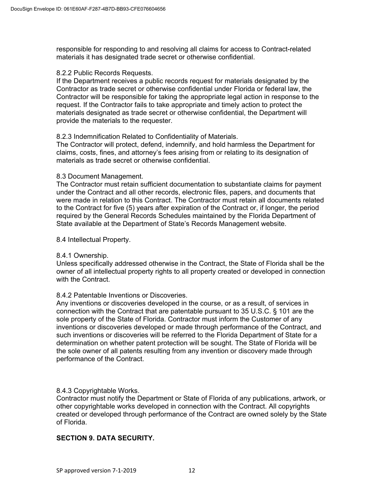responsible for responding to and resolving all claims for access to Contract-related materials it has designated trade secret or otherwise confidential.

#### 8.2.2 Public Records Requests.

If the Department receives a public records request for materials designated by the Contractor as trade secret or otherwise confidential under Florida or federal law, the Contractor will be responsible for taking the appropriate legal action in response to the request. If the Contractor fails to take appropriate and timely action to protect the materials designated as trade secret or otherwise confidential, the Department will provide the materials to the requester.

## 8.2.3 Indemnification Related to Confidentiality of Materials.

The Contractor will protect, defend, indemnify, and hold harmless the Department for claims, costs, fines, and attorney's fees arising from or relating to its designation of materials as trade secret or otherwise confidential.

#### 8.3 Document Management.

The Contractor must retain sufficient documentation to substantiate claims for payment under the Contract and all other records, electronic files, papers, and documents that were made in relation to this Contract. The Contractor must retain all documents related to the Contract for five (5) years after expiration of the Contract or, if longer, the period required by the General Records Schedules maintained by the Florida Department of State available at the Department of State's Records Management website.

#### 8.4 Intellectual Property.

## 8.4.1 Ownership.

Unless specifically addressed otherwise in the Contract, the State of Florida shall be the owner of all intellectual property rights to all property created or developed in connection with the Contract.

## 8.4.2 Patentable Inventions or Discoveries.

Any inventions or discoveries developed in the course, or as a result, of services in connection with the Contract that are patentable pursuant to 35 U.S.C. § 101 are the sole property of the State of Florida. Contractor must inform the Customer of any inventions or discoveries developed or made through performance of the Contract, and such inventions or discoveries will be referred to the Florida Department of State for a determination on whether patent protection will be sought. The State of Florida will be the sole owner of all patents resulting from any invention or discovery made through performance of the Contract.

## 8.4.3 Copyrightable Works.

Contractor must notify the Department or State of Florida of any publications, artwork, or other copyrightable works developed in connection with the Contract. All copyrights created or developed through performance of the Contract are owned solely by the State of Florida.

## **SECTION 9. DATA SECURITY.**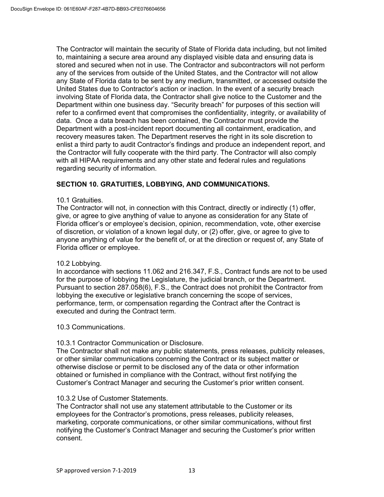The Contractor will maintain the security of State of Florida data including, but not limited to, maintaining a secure area around any displayed visible data and ensuring data is stored and secured when not in use. The Contractor and subcontractors will not perform any of the services from outside of the United States, and the Contractor will not allow any State of Florida data to be sent by any medium, transmitted, or accessed outside the United States due to Contractor's action or inaction. In the event of a security breach involving State of Florida data, the Contractor shall give notice to the Customer and the Department within one business day. "Security breach" for purposes of this section will refer to a confirmed event that compromises the confidentiality, integrity, or availability of data. Once a data breach has been contained, the Contractor must provide the Department with a post-incident report documenting all containment, eradication, and recovery measures taken. The Department reserves the right in its sole discretion to enlist a third party to audit Contractor's findings and produce an independent report, and the Contractor will fully cooperate with the third party. The Contractor will also comply with all HIPAA requirements and any other state and federal rules and regulations regarding security of information.

## **SECTION 10. GRATUITIES, LOBBYING, AND COMMUNICATIONS.**

## 10.1 Gratuities.

The Contractor will not, in connection with this Contract, directly or indirectly (1) offer, give, or agree to give anything of value to anyone as consideration for any State of Florida officer's or employee's decision, opinion, recommendation, vote, other exercise of discretion, or violation of a known legal duty, or (2) offer, give, or agree to give to anyone anything of value for the benefit of, or at the direction or request of, any State of Florida officer or employee.

#### 10.2 Lobbying.

In accordance with sections 11.062 and 216.347, F.S., Contract funds are not to be used for the purpose of lobbying the Legislature, the judicial branch, or the Department. Pursuant to section 287.058(6), F.S., the Contract does not prohibit the Contractor from lobbying the executive or legislative branch concerning the scope of services, performance, term, or compensation regarding the Contract after the Contract is executed and during the Contract term.

10.3 Communications.

#### 10.3.1 Contractor Communication or Disclosure.

The Contractor shall not make any public statements, press releases, publicity releases, or other similar communications concerning the Contract or its subject matter or otherwise disclose or permit to be disclosed any of the data or other information obtained or furnished in compliance with the Contract, without first notifying the Customer's Contract Manager and securing the Customer's prior written consent.

#### 10.3.2 Use of Customer Statements.

The Contractor shall not use any statement attributable to the Customer or its employees for the Contractor's promotions, press releases, publicity releases, marketing, corporate communications, or other similar communications, without first notifying the Customer's Contract Manager and securing the Customer's prior written consent.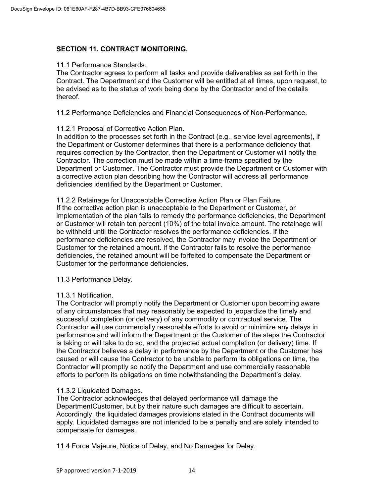## **SECTION 11. CONTRACT MONITORING.**

## 11.1 Performance Standards.

The Contractor agrees to perform all tasks and provide deliverables as set forth in the Contract. The Department and the Customer will be entitled at all times, upon request, to be advised as to the status of work being done by the Contractor and of the details thereof.

11.2 Performance Deficiencies and Financial Consequences of Non-Performance.

## 11.2.1 Proposal of Corrective Action Plan.

In addition to the processes set forth in the Contract (e.g., service level agreements), if the Department or Customer determines that there is a performance deficiency that requires correction by the Contractor, then the Department or Customer will notify the Contractor. The correction must be made within a time-frame specified by the Department or Customer. The Contractor must provide the Department or Customer with a corrective action plan describing how the Contractor will address all performance deficiencies identified by the Department or Customer.

11.2.2 Retainage for Unacceptable Corrective Action Plan or Plan Failure. If the corrective action plan is unacceptable to the Department or Customer, or implementation of the plan fails to remedy the performance deficiencies, the Department or Customer will retain ten percent (10%) of the total invoice amount. The retainage will be withheld until the Contractor resolves the performance deficiencies. If the performance deficiencies are resolved, the Contractor may invoice the Department or Customer for the retained amount. If the Contractor fails to resolve the performance deficiencies, the retained amount will be forfeited to compensate the Department or Customer for the performance deficiencies.

11.3 Performance Delay.

## 11.3.1 Notification.

The Contractor will promptly notify the Department or Customer upon becoming aware of any circumstances that may reasonably be expected to jeopardize the timely and successful completion (or delivery) of any commodity or contractual service. The Contractor will use commercially reasonable efforts to avoid or minimize any delays in performance and will inform the Department or the Customer of the steps the Contractor is taking or will take to do so, and the projected actual completion (or delivery) time. If the Contractor believes a delay in performance by the Department or the Customer has caused or will cause the Contractor to be unable to perform its obligations on time, the Contractor will promptly so notify the Department and use commercially reasonable efforts to perform its obligations on time notwithstanding the Department's delay.

## 11.3.2 Liquidated Damages.

The Contractor acknowledges that delayed performance will damage the DepartmentCustomer, but by their nature such damages are difficult to ascertain. Accordingly, the liquidated damages provisions stated in the Contract documents will apply. Liquidated damages are not intended to be a penalty and are solely intended to compensate for damages.

11.4 Force Majeure, Notice of Delay, and No Damages for Delay.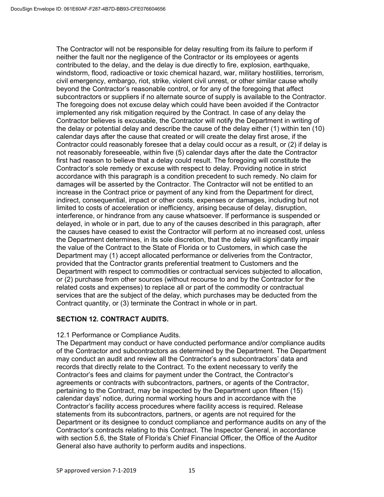The Contractor will not be responsible for delay resulting from its failure to perform if neither the fault nor the negligence of the Contractor or its employees or agents contributed to the delay, and the delay is due directly to fire, explosion, earthquake, windstorm, flood, radioactive or toxic chemical hazard, war, military hostilities, terrorism, civil emergency, embargo, riot, strike, violent civil unrest, or other similar cause wholly beyond the Contractor's reasonable control, or for any of the foregoing that affect subcontractors or suppliers if no alternate source of supply is available to the Contractor. The foregoing does not excuse delay which could have been avoided if the Contractor implemented any risk mitigation required by the Contract. In case of any delay the Contractor believes is excusable, the Contractor will notify the Department in writing of the delay or potential delay and describe the cause of the delay either (1) within ten (10) calendar days after the cause that created or will create the delay first arose, if the Contractor could reasonably foresee that a delay could occur as a result, or (2) if delay is not reasonably foreseeable, within five (5) calendar days after the date the Contractor first had reason to believe that a delay could result. The foregoing will constitute the Contractor's sole remedy or excuse with respect to delay. Providing notice in strict accordance with this paragraph is a condition precedent to such remedy. No claim for damages will be asserted by the Contractor. The Contractor will not be entitled to an increase in the Contract price or payment of any kind from the Department for direct, indirect, consequential, impact or other costs, expenses or damages, including but not limited to costs of acceleration or inefficiency, arising because of delay, disruption, interference, or hindrance from any cause whatsoever. If performance is suspended or delayed, in whole or in part, due to any of the causes described in this paragraph, after the causes have ceased to exist the Contractor will perform at no increased cost, unless the Department determines, in its sole discretion, that the delay will significantly impair the value of the Contract to the State of Florida or to Customers, in which case the Department may (1) accept allocated performance or deliveries from the Contractor, provided that the Contractor grants preferential treatment to Customers and the Department with respect to commodities or contractual services subjected to allocation, or (2) purchase from other sources (without recourse to and by the Contractor for the related costs and expenses) to replace all or part of the commodity or contractual services that are the subject of the delay, which purchases may be deducted from the Contract quantity, or (3) terminate the Contract in whole or in part.

## **SECTION 12. CONTRACT AUDITS.**

## 12.1 Performance or Compliance Audits.

The Department may conduct or have conducted performance and/or compliance audits of the Contractor and subcontractors as determined by the Department. The Department may conduct an audit and review all the Contractor's and subcontractors' data and records that directly relate to the Contract. To the extent necessary to verify the Contractor's fees and claims for payment under the Contract, the Contractor's agreements or contracts with subcontractors, partners, or agents of the Contractor, pertaining to the Contract, may be inspected by the Department upon fifteen (15) calendar days' notice, during normal working hours and in accordance with the Contractor's facility access procedures where facility access is required. Release statements from its subcontractors, partners, or agents are not required for the Department or its designee to conduct compliance and performance audits on any of the Contractor's contracts relating to this Contract. The Inspector General, in accordance with section 5.6, the State of Florida's Chief Financial Officer, the Office of the Auditor General also have authority to perform audits and inspections.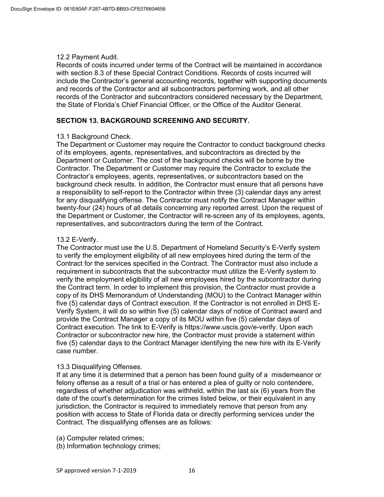#### 12.2 Payment Audit.

Records of costs incurred under terms of the Contract will be maintained in accordance with section 8.3 of these Special Contract Conditions. Records of costs incurred will include the Contractor's general accounting records, together with supporting documents and records of the Contractor and all subcontractors performing work, and all other records of the Contractor and subcontractors considered necessary by the Department, the State of Florida's Chief Financial Officer, or the Office of the Auditor General.

## **SECTION 13. BACKGROUND SCREENING AND SECURITY.**

## 13.1 Background Check.

The Department or Customer may require the Contractor to conduct background checks of its employees, agents, representatives, and subcontractors as directed by the Department or Customer. The cost of the background checks will be borne by the Contractor. The Department or Customer may require the Contractor to exclude the Contractor's employees, agents, representatives, or subcontractors based on the background check results. In addition, the Contractor must ensure that all persons have a responsibility to self-report to the Contractor within three (3) calendar days any arrest for any disqualifying offense. The Contractor must notify the Contract Manager within twenty-four (24) hours of all details concerning any reported arrest. Upon the request of the Department or Customer, the Contractor will re-screen any of its employees, agents, representatives, and subcontractors during the term of the Contract.

## 13.2 E-Verify.

The Contractor must use the U.S. Department of Homeland Security's E-Verify system to verify the employment eligibility of all new employees hired during the term of the Contract for the services specified in the Contract. The Contractor must also include a requirement in subcontracts that the subcontractor must utilize the E-Verify system to verify the employment eligibility of all new employees hired by the subcontractor during the Contract term. In order to implement this provision, the Contractor must provide a copy of its DHS Memorandum of Understanding (MOU) to the Contract Manager within five (5) calendar days of Contract execution. If the Contractor is not enrolled in DHS E-Verify System, it will do so within five (5) calendar days of notice of Contract award and provide the Contract Manager a copy of its MOU within five (5) calendar days of Contract execution. The link to E-Verify is https://www.uscis.gov/e-verify. Upon each Contractor or subcontractor new hire, the Contractor must provide a statement within five (5) calendar days to the Contract Manager identifying the new hire with its E-Verify case number.

#### 13.3 Disqualifying Offenses.

If at any time it is determined that a person has been found guilty of a misdemeanor or felony offense as a result of a trial or has entered a plea of guilty or nolo contendere, regardless of whether adjudication was withheld, within the last six (6) years from the date of the court's determination for the crimes listed below, or their equivalent in any jurisdiction, the Contractor is required to immediately remove that person from any position with access to State of Florida data or directly performing services under the Contract. The disqualifying offenses are as follows:

(a) Computer related crimes;

(b) Information technology crimes;